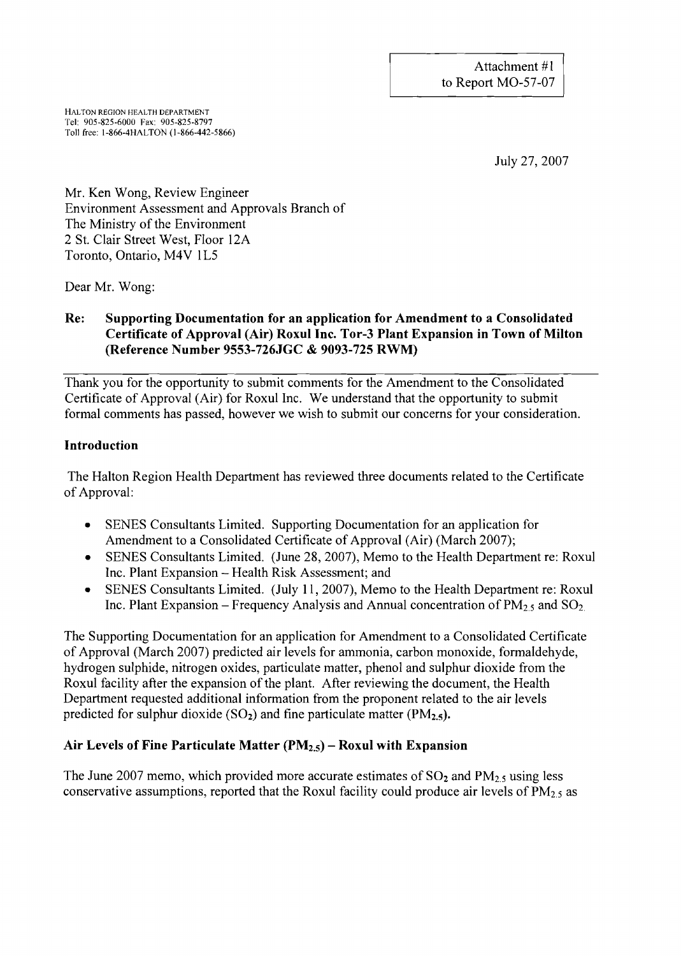HALTON REGION HEALTH DEPARTMENT Tel: 905-825-6000 Fax: 905-825-8797 Toll free: 1-866-4HALTON (1-866-442-5866)

July 27,2007

Mr. Ken Wong, Review Engineer Environment Assessment and Approvals Branch of The Ministry of the Environment 2 St. Clair Street West, Floor 12A Toronto, Ontario, M4V IL5

Dear Mr. Wong:

# Re: Supporting Documentation for an application for Amendment to a Consolidated Certificate of Approval (Air) Roxul Inc. Tor-3 Plant Expansion in Town of Milton (Reference Number 9553-726JGC & 9093-725 RWM)

Thank you for the opportunity to submit comments for the Amendment to the Consolidated Certificate of Approval (Air) for Roxul Inc. We understand that the opportunity to submit formal comments has passed, however we wish to submit our concerns for your consideration.

# Introduction

The Halton Region Health Department has reviewed three documents related to the Certificate of Approval:

- SENES Consultants Limited. Supporting Documentation for an application for Amendment to a Consolidated Certificate of Approval (Air) (March 2007);
- SENES Consultants Limited. (June 28, 2007), Memo to the Health Department re: Roxul Inc. Plant Expansion - Health Risk Assessment; and
- SENES Consultants Limited. (July 11, 2007), Memo to the Health Department re: Roxul Inc. Plant Expansion – Frequency Analysis and Annual concentration of  $PM<sub>2.5</sub>$  and  $SO<sub>2</sub>$

The Supporting Documentation for an application for Amendment to a Consolidated Certificate of Approval (March 2007) predicted air levels for ammonia, carbon monoxide, formaldehyde, hydrogen sulphide, nitrogen oxides, particulate matter, phenol and sulphur dioxide from the Roxul facility after the expansion of the plant. After reviewing the document, the Health Department requested additional information from the proponent related to the air levels predicted for sulphur dioxide  $(SO<sub>2</sub>)$  and fine particulate matter (PM<sub>2.5</sub>).

# Air Levels of Fine Particulate Matter  $(PM_{2,5})$  – Roxul with Expansion

The June 2007 memo, which provided more accurate estimates of  $SO_2$  and  $PM_{2.5}$  using less conservative assumptions, reported that the Roxul facility could produce air levels of  $PM_{2.5}$  as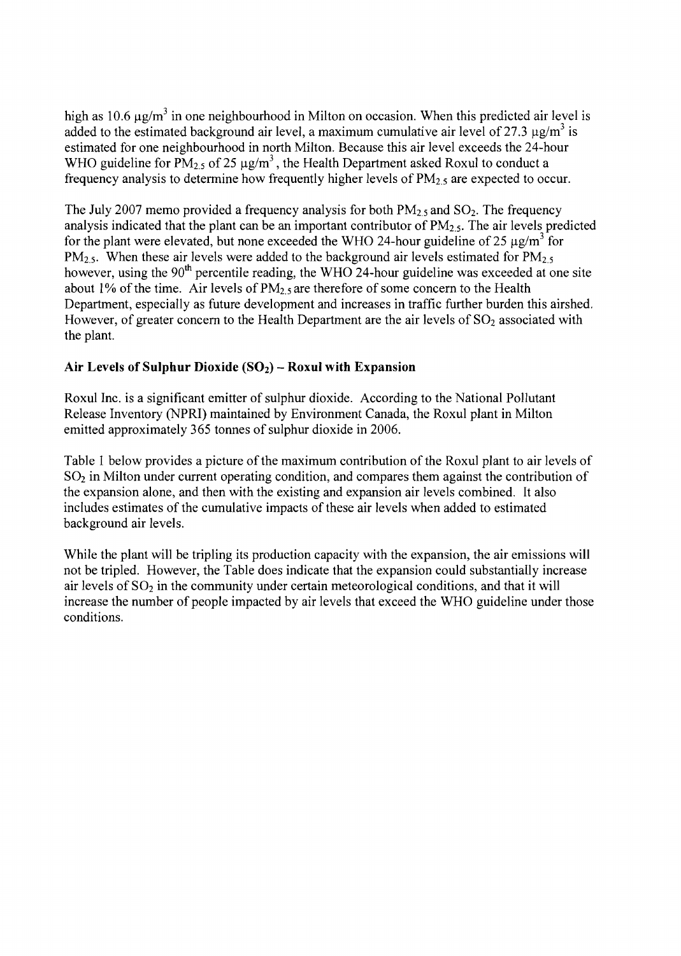high as 10.6  $\mu$ g/m<sup>3</sup> in one neighbourhood in Milton on occasion. When this predicted air level is added to the estimated background air level, a maximum cumulative air level of 27.3  $\mu$ g/m<sup>3</sup> is estimated for one neighbourhood in north Milton. Because this air level exceeds the 24-hour WHO guideline for  $PM_{2.5}$  of 25  $\mu$ g/m<sup>3</sup>, the Health Department asked Roxul to conduct a frequency analysis to determine how frequently higher levels of  $PM_{2.5}$  are expected to occur.

The July 2007 memo provided a frequency analysis for both  $PM_{2.5}$  and  $SO_2$ . The frequency analysis indicated that the plant can be an important contributor of  $PM<sub>2.5</sub>$ . The air levels predicted for the plant were elevated, but none exceeded the WHO 24-hour guideline of 25  $\mu$ g/m<sup>3</sup> for  $PM_{2.5}$ . When these air levels were added to the background air levels estimated for  $PM_{2.5}$ however, using the  $90<sup>th</sup>$  percentile reading, the WHO 24-hour guideline was exceeded at one site about 1% of the time. Air levels of  $PM<sub>2.5</sub>$  are therefore of some concern to the Health Department, especially as future development and increases in traffic further burden this airshed. However, of greater concern to the Health Department are the air levels of  $SO<sub>2</sub>$  associated with the plant.

# **Air Levels of Sulphur Dioxide (S02) - Roxul with Expansion**

Roxul Inc. is a significant emitter of sulphur dioxide. According to the National Pollutant Release Inventory (NPRI) maintained by Environment Canada, the Roxul plant in Milton emitted approximately 365 tonnes of sulphur dioxide in 2006.

Table 1 below provides a picture of the maximum contribution of the Roxul plant to air levels of  $SO<sub>2</sub>$  in Milton under current operating condition, and compares them against the contribution of the expansion alone, and then with the existing and expansion air levels combined. It also includes estimates of the cumulative impacts of these air levels when added to estimated background air levels.

While the plant will be tripling its production capacity with the expansion, the air emissions will not be tripled. However, the Table does indicate that the expansion could substantially increase air levels of  $SO<sub>2</sub>$  in the community under certain meteorological conditions, and that it will increase the number of people impacted by air levels that exceed the WHO guideline under those conditions.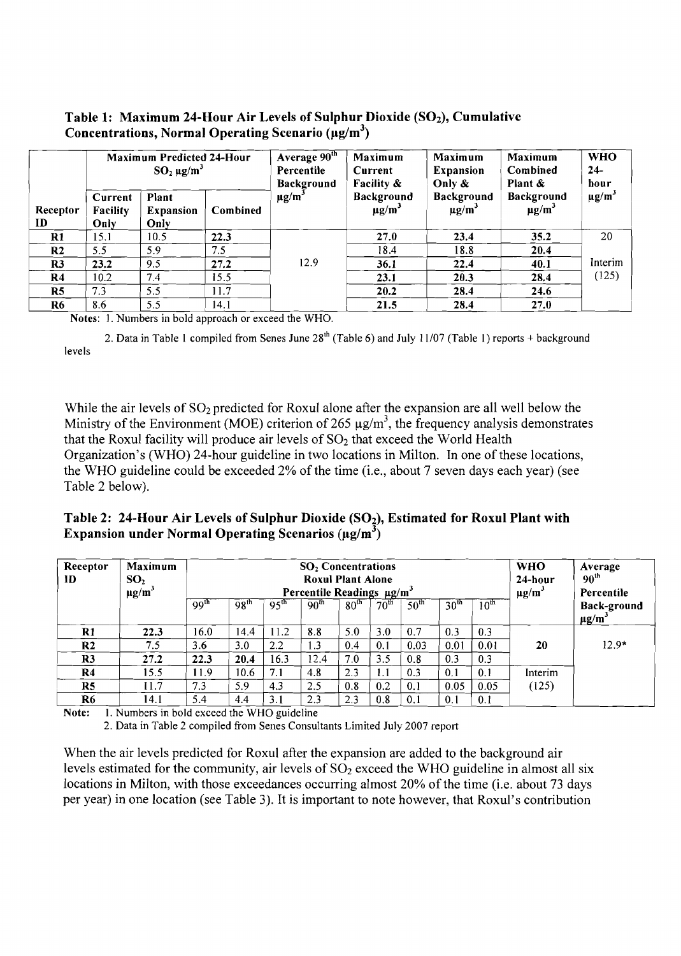## Table 1: Maximum 24-Hour Air Levels of Sulphur Dioxide  $(SO<sub>2</sub>)$ , Cumulative Concentrations, Normal Operating Scenario  $(\mu g/m^3)$

|                |                             | Maximum Predicted 24-Hour<br>$SO_2 \mu g/m^3$ |          | Average $90^{\text{th}}$<br>Percentile<br><b>Background</b> | Maximum<br>Current<br>Facility $\&$  | Maximum<br><b>Expansion</b><br>Only &       | <b>Maximum</b><br>Combined<br>Plant $\&$    | <b>WHO</b><br>$24-$<br>hour |  |
|----------------|-----------------------------|-----------------------------------------------|----------|-------------------------------------------------------------|--------------------------------------|---------------------------------------------|---------------------------------------------|-----------------------------|--|
| Receptor<br>ID | Current<br>Facility<br>Only | Plant<br><b>Expansion</b><br>Only             | Combined | $\mu$ g/m <sup>3</sup>                                      | Background<br>$\mu$ g/m <sup>3</sup> | <b>Background</b><br>$\mu$ g/m <sup>3</sup> | <b>Background</b><br>$\mu$ g/m <sup>3</sup> | $\mu$ g/m <sup>3</sup>      |  |
| $\bf R1$       | 15.1                        | 10.5                                          | 22.3     |                                                             | 27.0                                 | 23.4                                        | 35.2                                        | 20                          |  |
| R <sub>2</sub> | 5.5                         | 5.9                                           | 7.5      |                                                             | 18.4                                 | 18.8                                        | 20.4                                        | Interim                     |  |
| R <sub>3</sub> | 23.2                        | 9.5                                           | 27.2     | 12.9                                                        | 36.1                                 | 22.4                                        | 40.1                                        |                             |  |
| R <sub>4</sub> | 10.2                        | 7.4                                           | 15.5     |                                                             | 23.1                                 | 20.3                                        | 28.4                                        | (125)                       |  |
| R <sub>5</sub> | 7.3                         | 5.5                                           | 11.7     |                                                             | 20.2                                 | 28.4                                        | 24.6                                        |                             |  |
| R6             | 8.6                         | 5.5                                           | 14.1     |                                                             | 21.5                                 | 28.4                                        | 27.0                                        |                             |  |

Notes: I. Numbers in bold approach or exceed the WHO.

2. Data in Table 1 compiled from Senes June  $28<sup>th</sup>$  (Table 6) and July 11/07 (Table 1) reports + background levels

While the air levels of  $SO_2$  predicted for Roxul alone after the expansion are all well below the Ministry of the Environment (MOE) criterion of 265  $\mu$ g/m<sup>3</sup>, the frequency analysis demonstrates that the Roxul facility will produce air levels of  $SO<sub>2</sub>$  that exceed the World Health Organization's (WHO) 24-hour guideline in two locations in Milton. In one of these locations, the WHO guideline could be exceeded 2% of the time (i.e., about 7 seven days each year) (see Table 2 below).

Table 2: 24-Hour Air Levels of Sulphur Dioxide (SO<sub>2</sub>), Estimated for Roxul Plant with Expansion under Normal Operating Scenarios ( $\mu$ g/m<sup>3</sup>)

| Receptor<br>ID | Maximum<br>SO <sub>2</sub><br>$\mu$ g/m <sup>3</sup> | $SO2$ Concentrations<br><b>Roxul Plant Alone</b><br>Percentile Readings $\mu$ g/m <sup>3</sup> |                  |                  |                  |                  |                  |                  |                  |                  | <b>WHO</b><br>24-hour<br>$\mu$ g/m <sup>3</sup> | Average<br>90 <sup>th</sup><br>Percentile    |
|----------------|------------------------------------------------------|------------------------------------------------------------------------------------------------|------------------|------------------|------------------|------------------|------------------|------------------|------------------|------------------|-------------------------------------------------|----------------------------------------------|
|                |                                                      | 99 <sup>th</sup>                                                                               | 98 <sup>th</sup> | 95 <sup>th</sup> | 90 <sup>th</sup> | 80 <sup>th</sup> | 70 <sup>th</sup> | 50 <sup>th</sup> | 30 <sup>th</sup> | 10 <sup>th</sup> |                                                 | <b>Back-ground</b><br>$\mu$ g/m <sup>3</sup> |
| $\mathbf{R}1$  | 22.3                                                 | 16.0                                                                                           | 14.4             | 11.2             | 8.8              | 5.0              | 3.0              | 0.7              | 0.3              | 0.3              |                                                 |                                              |
| R <sub>2</sub> | 7.5                                                  | 3.6                                                                                            | 3.0              | 2.2              | 1.3              | 0.4              | 0.1              | 0.03             | 0.01             | 0.01             | 20                                              | $12.9*$                                      |
| R <sub>3</sub> | 27.2                                                 | 22.3                                                                                           | 20.4             | 16.3             | 12.4             | 7.0              | 3.5              | 0.8              | 0.3              | 0.3              |                                                 |                                              |
| R <sub>4</sub> | 15.5                                                 | 11.9                                                                                           | 10.6             | 7.1              | 4.8              | 2.3              | 1.1              | 0.3              | 0.1              | 0.1              | Interim                                         |                                              |
| R <sub>5</sub> | 11.7                                                 | 7.3                                                                                            | 5.9              | 4.3              | 2.5              | 0.8              | 0.2              | 0.1              | 0.05             | 0.05             | (125)                                           |                                              |
| R <sub>6</sub> | 14.1                                                 | 5.4                                                                                            | 4.4              | 3.1              | 2.3              | 2.3              | 0.8              | 0.1              | 0.1              | 0.1              |                                                 |                                              |

Note:  $1.$  Numbers in bold exceed the WHO guideline

2. Data in Table 2 compiled from Senes Consultants Limited July 2007 report

When the air levels predicted for Roxul after the expansion are added to the background air levels estimated for the community, air levels of  $SO<sub>2</sub>$  exceed the WHO guideline in almost all six locations in Milton, with those exceedances occurring almost 20% of the time (i.e. about 73 days per year) in one location (see Table 3). It is important to note however, that Roxul's contribution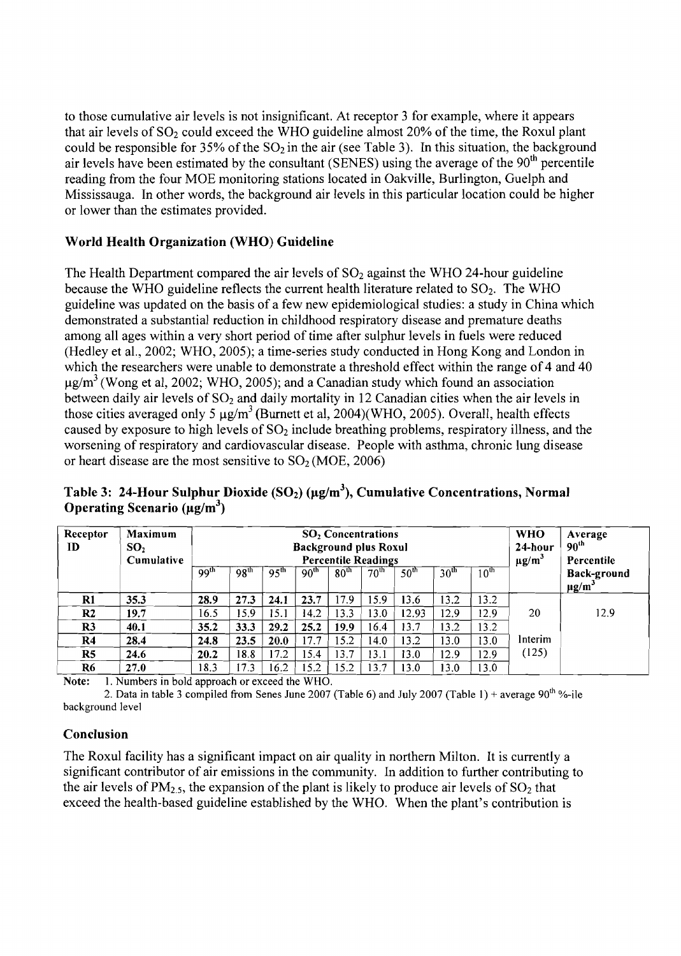to those cumulative air levels is not insignificant. At receptor 3 for example, where it appears that air levels of  $SO_2$  could exceed the WHO guideline almost 20% of the time, the Roxul plant could be responsible for  $35\%$  of the  $SO_2$  in the air (see Table 3). In this situation, the background air levels have been estimated by the consultant (SENES) using the average of the 90<sup>th</sup> percentile reading from the four MOE monitoring stations located in Oakville, Burlington, Guelph and Mississauga. In other words, the background air levels in this particular location could be higher or lower than the estimates provided.

# World Health Organization (WHO) Guideline

The Health Department compared the air levels of  $SO<sub>2</sub>$  against the WHO 24-hour guideline because the WHO guideline reflects the current health literature related to  $SO<sub>2</sub>$ . The WHO guideline was updated on the basis of a few new epidemiological studies: a study in China which demonstrated a substantial reduction in childhood respiratory disease and premature deaths among all ages within a very short period of time after sulphur levels in fuels were reduced (Hedley et aI., 2002; WHO, 2005); a time-series study conducted in Hong Kong and London in which the researchers were unable to demonstrate a threshold effect within the range of 4 and 40  $\mu$ g/m<sup>3</sup> (Wong et al, 2002; WHO, 2005); and a Canadian study which found an association between daily air levels of  $SO<sub>2</sub>$  and daily mortality in 12 Canadian cities when the air levels in those cities averaged only 5  $\mu$ g/m<sup>3</sup> (Burnett et al, 2004)(WHO, 2005). Overall, health effects caused by exposure to high levels of  $SO<sub>2</sub>$  include breathing problems, respiratory illness, and the worsening of respiratory and cardiovascular disease. People with asthma, chronic lung disease or heart disease are the most sensitive to  $SO<sub>2</sub>(MOE, 2006)$ 

Table 3: 24-Hour Sulphur Dioxide (SO<sub>2</sub>) (µg/m<sup>3</sup>), Cumulative Concentrations, Normal Operating Scenario ( $\mu$ g/m<sup>3</sup>)

| Receptor<br>ID | <b>Maximum</b><br>SO <sub>2</sub><br>Cumulative | $SO2$ Concentrations<br><b>Background plus Roxul</b><br><b>Percentile Readings</b> |                  |                  |                  |                  |                  |                  |                  |                  | <b>WHO</b><br>24-hour<br>$\mu$ g/m <sup>3</sup> | Average<br>90 <sup>th</sup><br>Percentile |
|----------------|-------------------------------------------------|------------------------------------------------------------------------------------|------------------|------------------|------------------|------------------|------------------|------------------|------------------|------------------|-------------------------------------------------|-------------------------------------------|
|                |                                                 | 99 <sup>th</sup>                                                                   | 98 <sup>th</sup> | 95 <sup>th</sup> | 90 <sup>th</sup> | 80 <sup>th</sup> | 70 <sup>th</sup> | 50 <sup>th</sup> | 30 <sup>th</sup> | 10 <sup>th</sup> |                                                 | Back-ground<br>$\mu$ g/m <sup>3</sup>     |
| $\mathbf{R}1$  | 35.3                                            | 28.9                                                                               | 27.3             | 24.1             | 23.7             | 17.9             | 15.9             | 13.6             | 13.2             | 13.2             |                                                 |                                           |
| R <sub>2</sub> | 19.7                                            | 16.5                                                                               | 15.9             | 15.1             | 14.2             | 13.3             | 13.0             | 12.93            | 12.9             | 12.9             | 20                                              | 12.9                                      |
| R3             | 40.1                                            | 35.2                                                                               | 33.3             | 29.2             | 25.2             | 19.9             | 16.4             | 13.7             | 3.2              | 13.2             |                                                 |                                           |
| R <sub>4</sub> | 28.4                                            | 24.8                                                                               | 23.5             | 20.0             | 17.7             | 15.2             | 14.0             | 13.2             | 3.0              | 13.0             | Interim                                         |                                           |
| R <sub>5</sub> | 24.6                                            | 20.2                                                                               | 18.8             | 17.2             | 15.4             | 13.7             | 13.1             | 13.0             | 12.9             | 12.9             | (125)                                           |                                           |
| R <sub>6</sub> | 27.0                                            | 18.3                                                                               | 17.3             | 16.2             | 15.2             | 15.2             | 13.7             | 13.0             | 13.0             | 13.0             |                                                 |                                           |

Note: 1. Numbers in bold approach or exceed the WHO.

2. Data in table 3 compiled from Senes June 2007 (Table 6) and July 2007 (Table 1) + average 90<sup>th</sup> %-ile background level

# **Conclusion**

The Roxul facility has a significant impact on air quality in northern Milton. It is currently a significant contributor of air emissions in the community. In addition to further contributing to the air levels of  $PM_{2.5}$ , the expansion of the plant is likely to produce air levels of  $SO_2$  that exceed the health-based guideline established by the WHO. When the plant's contribution is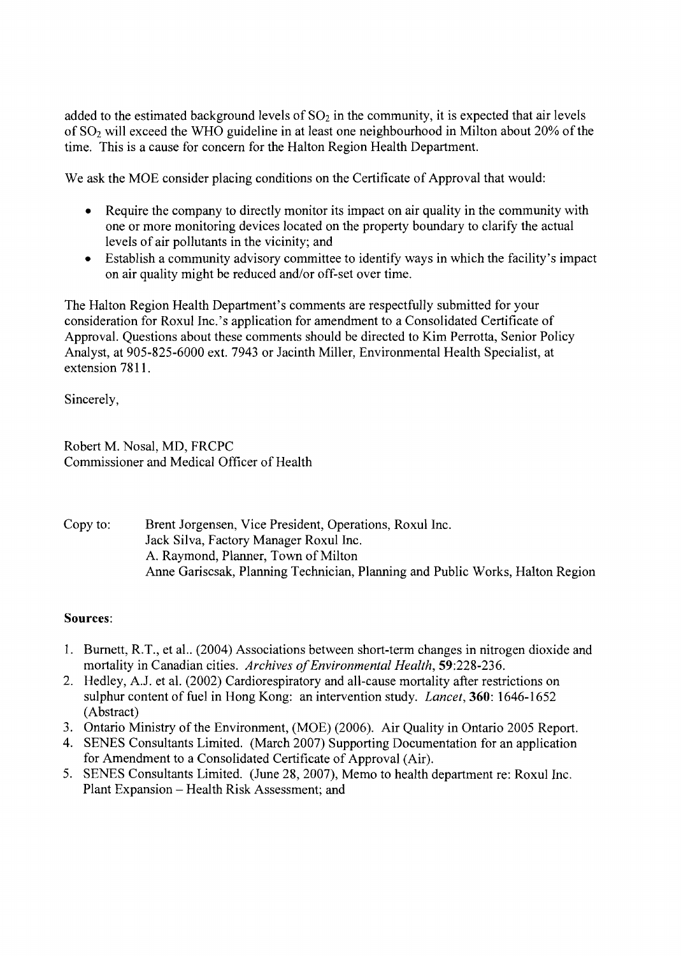added to the estimated background levels of  $SO<sub>2</sub>$  in the community, it is expected that air levels of S02 will exceed the WHO guideline in at least one neighbourhood in Milton about 20% of the time. This is a cause for concern for the Halton Region Health Department.

We ask the MOE consider placing conditions on the Certificate of Approval that would:

- Require the company to directly monitor its impact on air quality in the community with one or more monitoring devices located on the property boundary to clarify the actual levels of air pollutants in the vicinity; and
- Establish a community advisory committee to identify ways in which the facility's impact on air quality might be reduced and/or off-set over time.

The Halton Region Health Department's comments are respectfully submitted for your consideration for Roxul Inc.'s application for amendment to a Consolidated Certificate of Approval. Questions about these comments should be directed to Kim Perrotta, Senior Policy Analyst, at 905-825-6000 ext. 7943 or Jacinth Miller, Environmental Health Specialist, at extension 7811.

Sincerely,

Robert M. Nosal, MD, FRCPC Commissioner and Medical Officer of Health

Copy to: Brent Jorgensen, Vice President, Operations, Roxul Inc. Jack Silva, Factory Manager Roxul Inc. A. Raymond, Planner, Town of Milton Anne Gariscsak, Planning Technician, Planning and Public Works, Halton Region

#### Sources:

- 1. Burnett, R.T., et al.. (2004) Associations between short-term changes in nitrogen dioxide and mortality in Canadian cities. *Archives of Environmental Health*, 59:228-236.
- 2. Hedley, A.J. et al. (2002) Cardiorespiratory and all-cause mortality after restrictions on sulphur content of fuel in Hong Kong: an intervention study. *Lancet,* 360: 1646-1652 (Abstract)
- 3. Ontario Ministry of the Environment, (MOE) (2006). Air Quality in Ontario 2005 Report.
- 4. SENES Consultants Limited. (March 2007) Supporting Documentation for an application for Amendment to a Consolidated Certificate of Approval (Air).
- 5. SENES Consultants Limited. (June 28, 2007), Memo to health department re: Roxul Inc. Plant Expansion - Health Risk Assessment; and